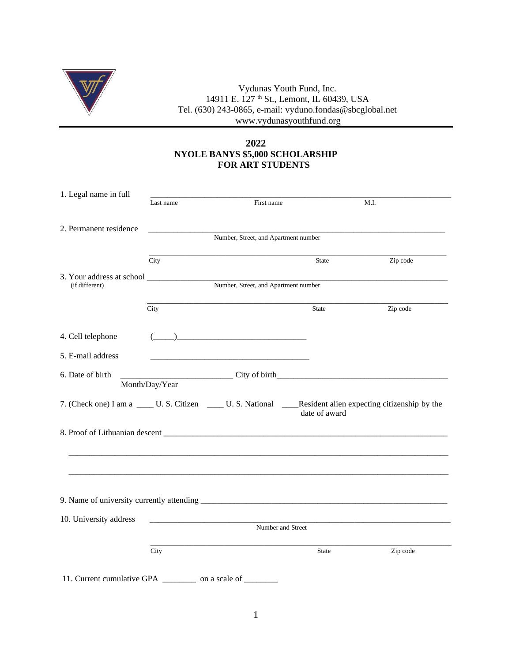

Vydunas Youth Fund, Inc. 14911 E. 127 <sup>th</sup> St., Lemont, IL 60439, USA Tel. (630) 243-0865, e-mail: vyduno.fondas@sbcglobal.net www.vydunasyouthfund.org

## **2022 NYOLE BANYS \$5,000 SCHOLARSHIP FOR ART STUDENTS**

| 1. Legal name in full                                            |                                                                   |                                                                                                                                                                                                                                                                                                                                                                                                              |               |                                                                                                                   |  |  |  |  |  |
|------------------------------------------------------------------|-------------------------------------------------------------------|--------------------------------------------------------------------------------------------------------------------------------------------------------------------------------------------------------------------------------------------------------------------------------------------------------------------------------------------------------------------------------------------------------------|---------------|-------------------------------------------------------------------------------------------------------------------|--|--|--|--|--|
|                                                                  | Last name                                                         | First name                                                                                                                                                                                                                                                                                                                                                                                                   |               | M.I.                                                                                                              |  |  |  |  |  |
|                                                                  |                                                                   |                                                                                                                                                                                                                                                                                                                                                                                                              |               |                                                                                                                   |  |  |  |  |  |
| 2. Permanent residence                                           |                                                                   |                                                                                                                                                                                                                                                                                                                                                                                                              |               |                                                                                                                   |  |  |  |  |  |
|                                                                  | Number, Street, and Apartment number                              |                                                                                                                                                                                                                                                                                                                                                                                                              |               |                                                                                                                   |  |  |  |  |  |
|                                                                  |                                                                   |                                                                                                                                                                                                                                                                                                                                                                                                              |               |                                                                                                                   |  |  |  |  |  |
|                                                                  | City                                                              |                                                                                                                                                                                                                                                                                                                                                                                                              | State         | Zip code                                                                                                          |  |  |  |  |  |
|                                                                  |                                                                   |                                                                                                                                                                                                                                                                                                                                                                                                              |               |                                                                                                                   |  |  |  |  |  |
| (if different)                                                   | 3. Your address at school<br>Number, Street, and Apartment number |                                                                                                                                                                                                                                                                                                                                                                                                              |               |                                                                                                                   |  |  |  |  |  |
|                                                                  |                                                                   |                                                                                                                                                                                                                                                                                                                                                                                                              |               |                                                                                                                   |  |  |  |  |  |
|                                                                  |                                                                   |                                                                                                                                                                                                                                                                                                                                                                                                              |               |                                                                                                                   |  |  |  |  |  |
|                                                                  | City                                                              |                                                                                                                                                                                                                                                                                                                                                                                                              | State         | Zip code                                                                                                          |  |  |  |  |  |
|                                                                  |                                                                   |                                                                                                                                                                                                                                                                                                                                                                                                              |               |                                                                                                                   |  |  |  |  |  |
| 4. Cell telephone                                                |                                                                   | $\overline{(\hspace{.1cm}\overline{\hspace{.1cm} \hspace{.1cm} \hspace{.1cm} \hspace{.1cm} \hspace{.1cm} \hspace{.1cm} \hspace{.1cm} \hspace{.1cm} \hspace{.1cm} \hspace{.1cm} \hspace{.1cm} \hspace{.1cm} \hspace{.1cm} \hspace{.1cm} \hspace{.1cm} \hspace{.1cm} \hspace{.1cm} \hspace{.1cm} \hspace{.1cm} \hspace{.1cm} \hspace{.1cm} \hspace{.1cm} \hspace{.1cm} \hspace{.1cm} \hspace{.1cm} \hspace{.1$ |               |                                                                                                                   |  |  |  |  |  |
|                                                                  |                                                                   |                                                                                                                                                                                                                                                                                                                                                                                                              |               |                                                                                                                   |  |  |  |  |  |
| 5. E-mail address                                                |                                                                   |                                                                                                                                                                                                                                                                                                                                                                                                              |               |                                                                                                                   |  |  |  |  |  |
|                                                                  |                                                                   |                                                                                                                                                                                                                                                                                                                                                                                                              |               |                                                                                                                   |  |  |  |  |  |
| 6. Date of birth                                                 |                                                                   |                                                                                                                                                                                                                                                                                                                                                                                                              |               |                                                                                                                   |  |  |  |  |  |
|                                                                  | Month/Day/Year                                                    |                                                                                                                                                                                                                                                                                                                                                                                                              |               |                                                                                                                   |  |  |  |  |  |
|                                                                  |                                                                   |                                                                                                                                                                                                                                                                                                                                                                                                              |               |                                                                                                                   |  |  |  |  |  |
|                                                                  |                                                                   |                                                                                                                                                                                                                                                                                                                                                                                                              | date of award | 7. (Check one) I am a _____ U. S. Citizen ______ U. S. National ______Resident alien expecting citizenship by the |  |  |  |  |  |
|                                                                  |                                                                   |                                                                                                                                                                                                                                                                                                                                                                                                              |               |                                                                                                                   |  |  |  |  |  |
|                                                                  |                                                                   |                                                                                                                                                                                                                                                                                                                                                                                                              |               |                                                                                                                   |  |  |  |  |  |
|                                                                  |                                                                   |                                                                                                                                                                                                                                                                                                                                                                                                              |               |                                                                                                                   |  |  |  |  |  |
|                                                                  |                                                                   |                                                                                                                                                                                                                                                                                                                                                                                                              |               |                                                                                                                   |  |  |  |  |  |
|                                                                  |                                                                   |                                                                                                                                                                                                                                                                                                                                                                                                              |               |                                                                                                                   |  |  |  |  |  |
|                                                                  |                                                                   |                                                                                                                                                                                                                                                                                                                                                                                                              |               |                                                                                                                   |  |  |  |  |  |
|                                                                  |                                                                   |                                                                                                                                                                                                                                                                                                                                                                                                              |               |                                                                                                                   |  |  |  |  |  |
|                                                                  |                                                                   |                                                                                                                                                                                                                                                                                                                                                                                                              |               |                                                                                                                   |  |  |  |  |  |
|                                                                  |                                                                   |                                                                                                                                                                                                                                                                                                                                                                                                              |               |                                                                                                                   |  |  |  |  |  |
| 10. University address                                           |                                                                   |                                                                                                                                                                                                                                                                                                                                                                                                              |               |                                                                                                                   |  |  |  |  |  |
|                                                                  | Number and Street                                                 |                                                                                                                                                                                                                                                                                                                                                                                                              |               |                                                                                                                   |  |  |  |  |  |
|                                                                  |                                                                   |                                                                                                                                                                                                                                                                                                                                                                                                              |               |                                                                                                                   |  |  |  |  |  |
|                                                                  | City                                                              |                                                                                                                                                                                                                                                                                                                                                                                                              | State         | Zip code                                                                                                          |  |  |  |  |  |
|                                                                  |                                                                   |                                                                                                                                                                                                                                                                                                                                                                                                              |               |                                                                                                                   |  |  |  |  |  |
|                                                                  |                                                                   |                                                                                                                                                                                                                                                                                                                                                                                                              |               |                                                                                                                   |  |  |  |  |  |
| 11. Current cumulative GPA _____________ on a scale of _________ |                                                                   |                                                                                                                                                                                                                                                                                                                                                                                                              |               |                                                                                                                   |  |  |  |  |  |
|                                                                  |                                                                   |                                                                                                                                                                                                                                                                                                                                                                                                              |               |                                                                                                                   |  |  |  |  |  |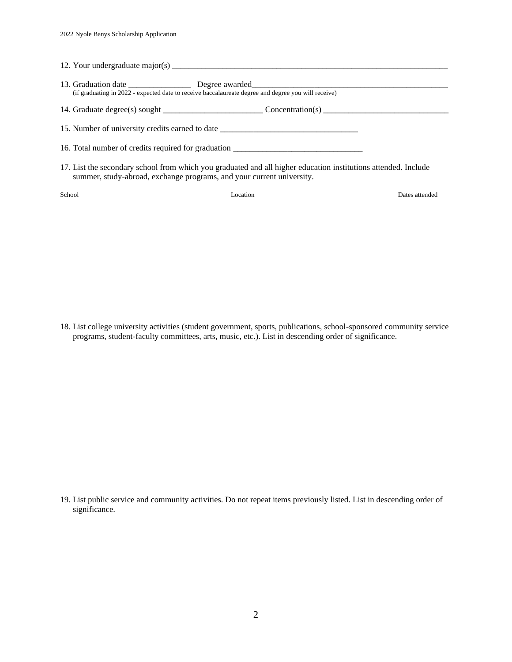|        | (if graduating in 2022 - expected date to receive baccalaureate degree and degree you will receive)                                                                                     |                |
|--------|-----------------------------------------------------------------------------------------------------------------------------------------------------------------------------------------|----------------|
|        |                                                                                                                                                                                         |                |
|        | 15. Number of university credits earned to date ________________________________                                                                                                        |                |
|        | 16. Total number of credits required for graduation ____________________________                                                                                                        |                |
|        | 17. List the secondary school from which you graduated and all higher education institutions attended. Include<br>summer, study-abroad, exchange programs, and your current university. |                |
| School | Location                                                                                                                                                                                | Dates attended |

18. List college university activities (student government, sports, publications, school-sponsored community service programs, student-faculty committees, arts, music, etc.). List in descending order of significance.

19. List public service and community activities. Do not repeat items previously listed. List in descending order of significance.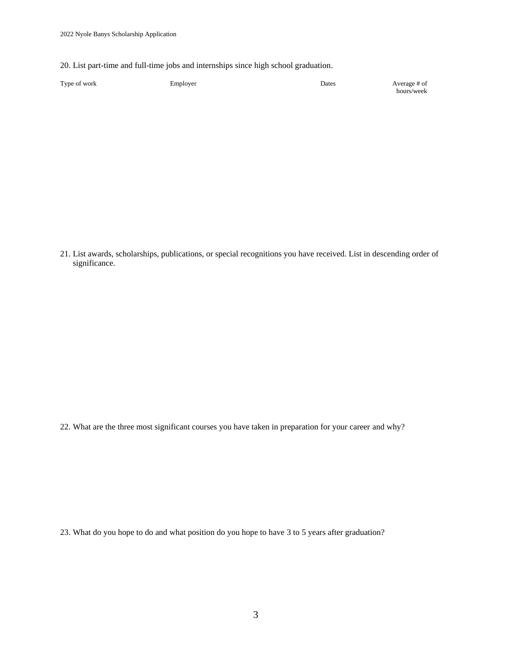20. List part-time and full-time jobs and internships since high school graduation.

| Type of work | Employer | Dates | Average # of |
|--------------|----------|-------|--------------|
|              |          |       | hours/week   |

21. List awards, scholarships, publications, or special recognitions you have received. List in descending order of significance.

22. What are the three most significant courses you have taken in preparation for your career and why?

23. What do you hope to do and what position do you hope to have 3 to 5 years after graduation?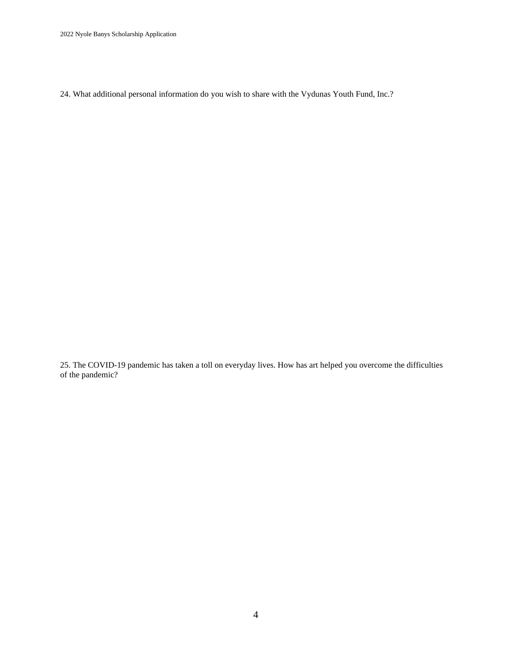2022 Nyole Banys Scholarship Application

24. What additional personal information do you wish to share with the Vydunas Youth Fund, Inc.?

25. The COVID-19 pandemic has taken a toll on everyday lives. How has art helped you overcome the difficulties of the pandemic?